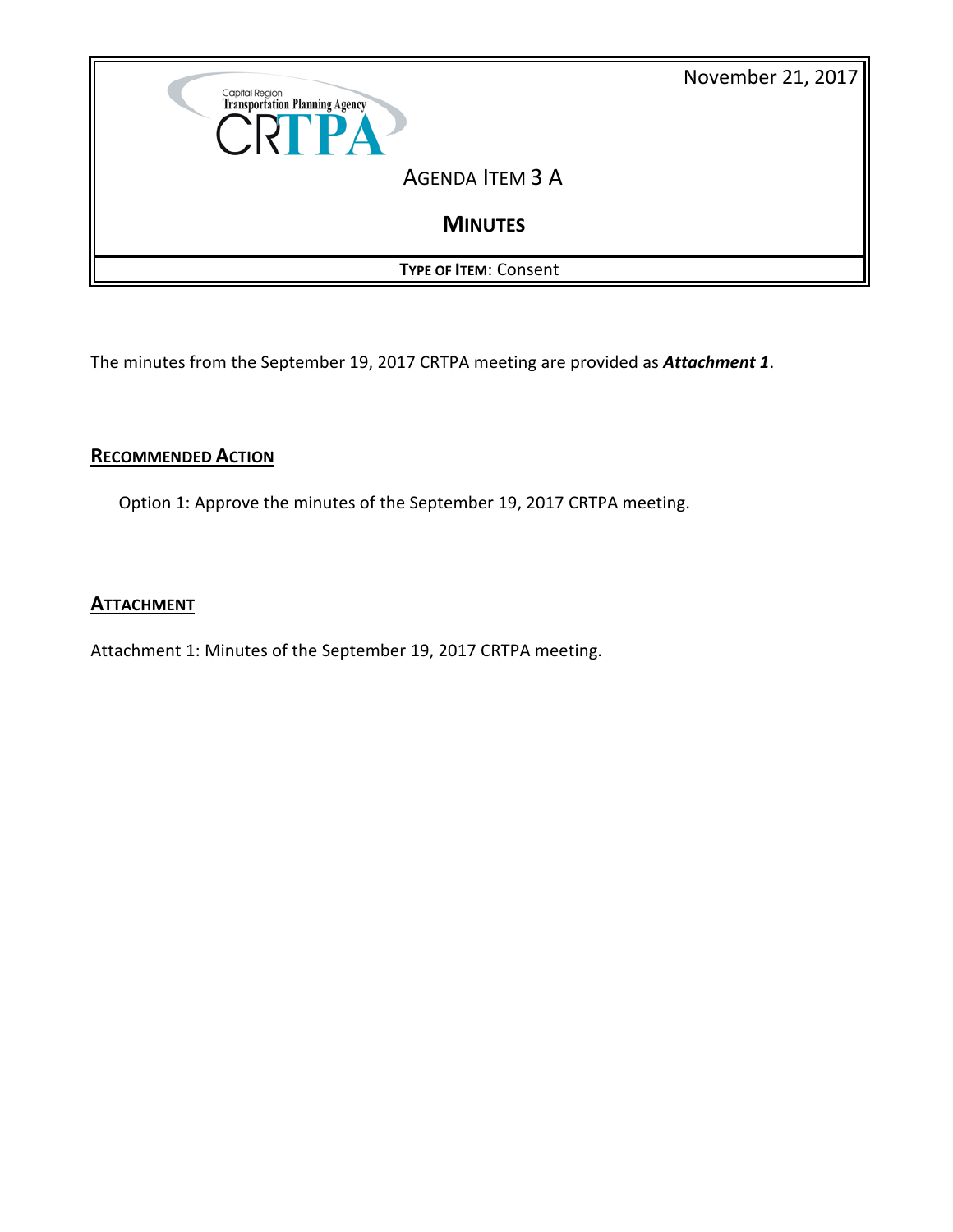

The minutes from the September 19, 2017 CRTPA meeting are provided as *Attachment 1*.

# **RECOMMENDED ACTION**

Option 1: Approve the minutes of the September 19, 2017 CRTPA meeting.

# **ATTACHMENT**

Attachment 1: Minutes of the September 19, 2017 CRTPA meeting.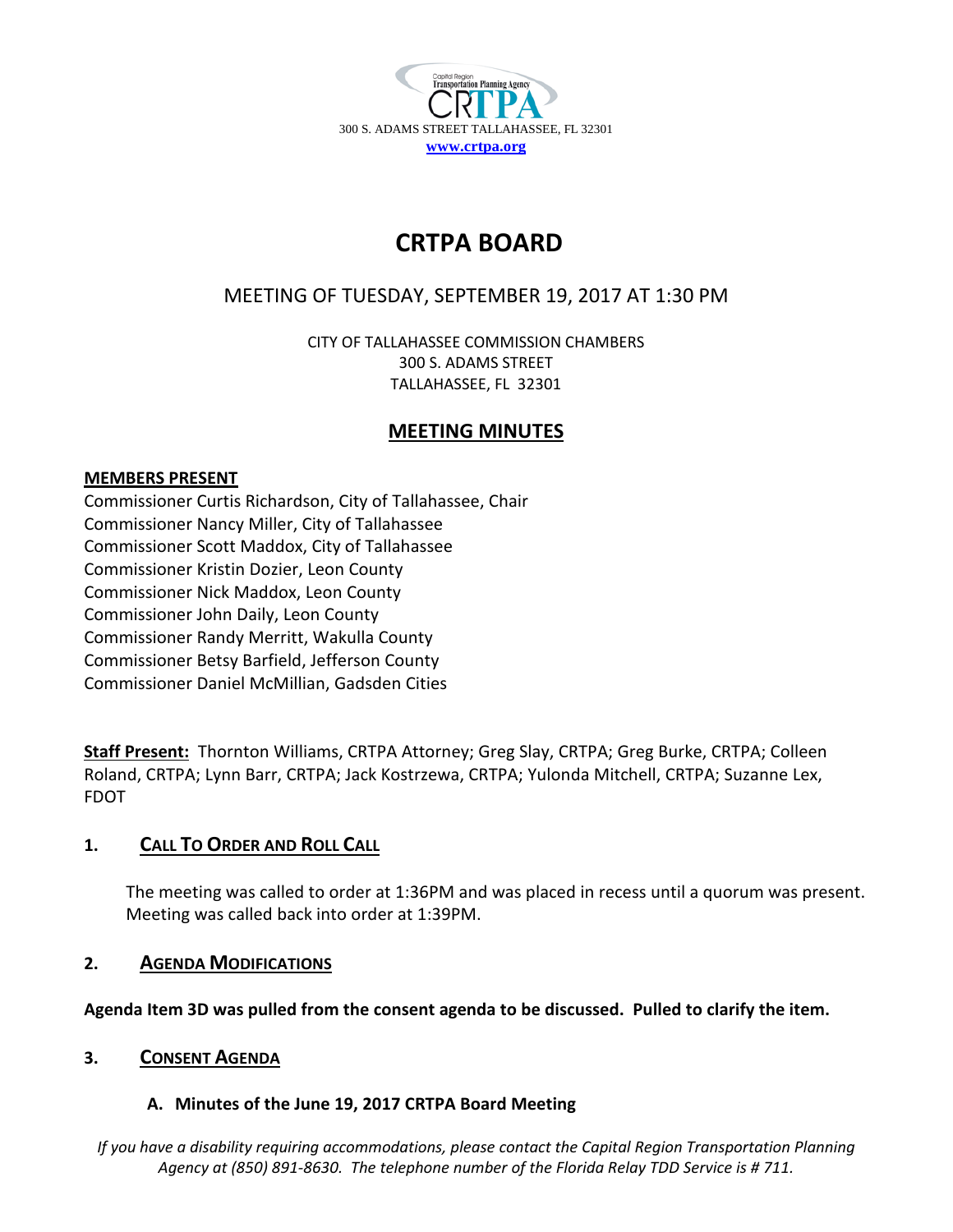

# **CRTPA BOARD**

# MEETING OF TUESDAY, SEPTEMBER 19, 2017 AT 1:30 PM

CITY OF TALLAHASSEE COMMISSION CHAMBERS 300 S. ADAMS STREET TALLAHASSEE, FL 32301

# **MEETING MINUTES**

# **MEMBERS PRESENT**

Commissioner Curtis Richardson, City of Tallahassee, Chair Commissioner Nancy Miller, City of Tallahassee Commissioner Scott Maddox, City of Tallahassee Commissioner Kristin Dozier, Leon County Commissioner Nick Maddox, Leon County Commissioner John Daily, Leon County Commissioner Randy Merritt, Wakulla County Commissioner Betsy Barfield, Jefferson County Commissioner Daniel McMillian, Gadsden Cities

**Staff Present:** Thornton Williams, CRTPA Attorney; Greg Slay, CRTPA; Greg Burke, CRTPA; Colleen Roland, CRTPA; Lynn Barr, CRTPA; Jack Kostrzewa, CRTPA; Yulonda Mitchell, CRTPA; Suzanne Lex, FDOT

# **1. CALL TO ORDER AND ROLL CALL**

The meeting was called to order at 1:36PM and was placed in recess until a quorum was present. Meeting was called back into order at 1:39PM.

# **2. AGENDA MODIFICATIONS**

**Agenda Item 3D was pulled from the consent agenda to be discussed. Pulled to clarify the item.**

# **3. CONSENT AGENDA**

# **A. Minutes of the June 19, 2017 CRTPA Board Meeting**

*If you have a disability requiring accommodations, please contact the Capital Region Transportation Planning Agency at (850) 891-8630. The telephone number of the Florida Relay TDD Service is # 711.*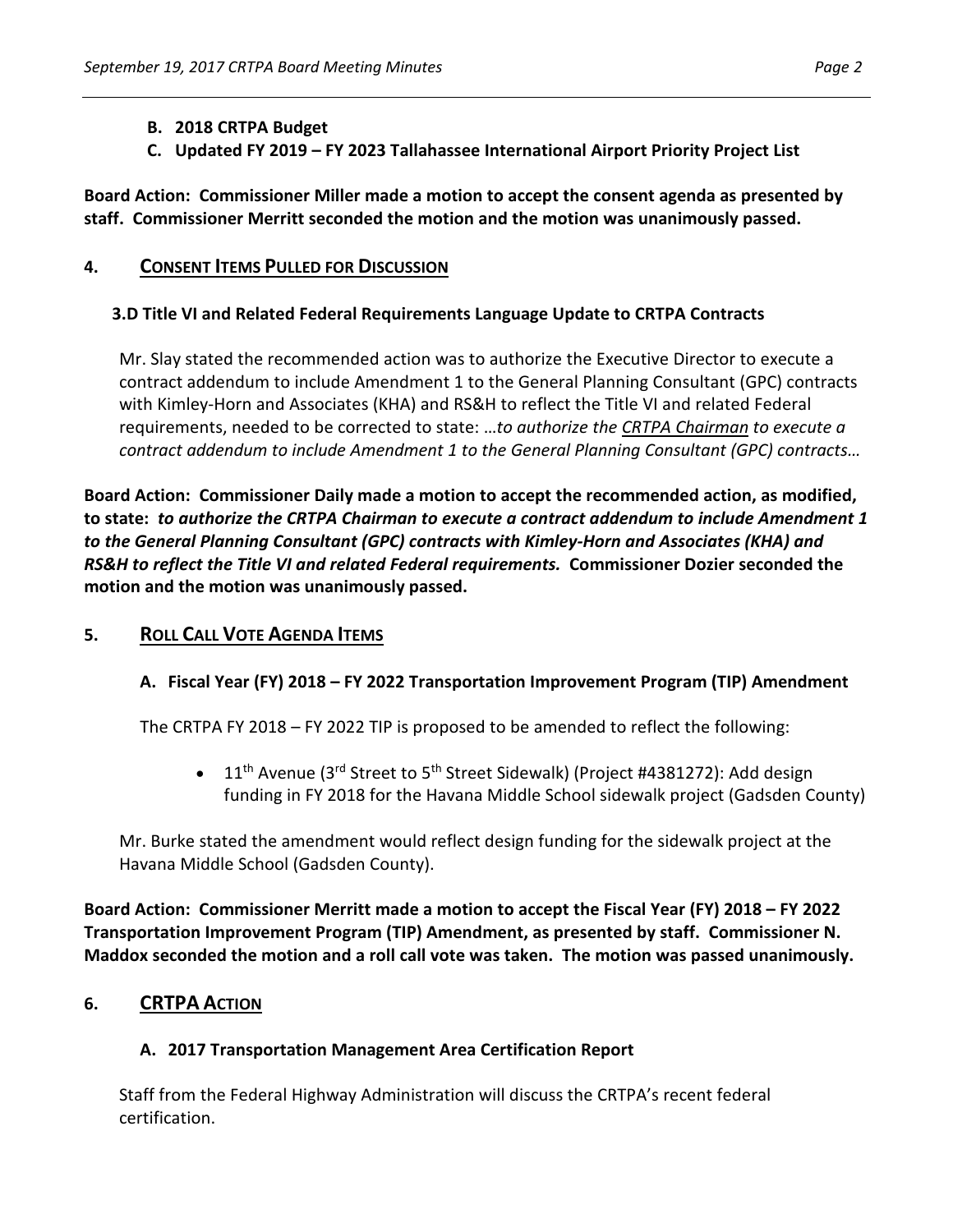#### **B. 2018 CRTPA Budget**

**C. Updated FY 2019 – FY 2023 Tallahassee International Airport Priority Project List**

**Board Action: Commissioner Miller made a motion to accept the consent agenda as presented by staff. Commissioner Merritt seconded the motion and the motion was unanimously passed.** 

#### **4. CONSENT ITEMS PULLED FOR DISCUSSION**

#### **3.D Title VI and Related Federal Requirements Language Update to CRTPA Contracts**

Mr. Slay stated the recommended action was to authorize the Executive Director to execute a contract addendum to include Amendment 1 to the General Planning Consultant (GPC) contracts with Kimley-Horn and Associates (KHA) and RS&H to reflect the Title VI and related Federal requirements, needed to be corrected to state: …*to authorize the CRTPA Chairman to execute a contract addendum to include Amendment 1 to the General Planning Consultant (GPC) contracts…*

**Board Action: Commissioner Daily made a motion to accept the recommended action, as modified, to state:** *to authorize the CRTPA Chairman to execute a contract addendum to include Amendment 1 to the General Planning Consultant (GPC) contracts with Kimley-Horn and Associates (KHA) and RS&H to reflect the Title VI and related Federal requirements.* **Commissioner Dozier seconded the motion and the motion was unanimously passed.** 

#### **5. ROLL CALL VOTE AGENDA ITEMS**

#### **A. Fiscal Year (FY) 2018 – FY 2022 Transportation Improvement Program (TIP) Amendment**

The CRTPA FY 2018 – FY 2022 TIP is proposed to be amended to reflect the following:

• 11<sup>th</sup> Avenue (3<sup>rd</sup> Street to 5<sup>th</sup> Street Sidewalk) (Project #4381272): Add design funding in FY 2018 for the Havana Middle School sidewalk project (Gadsden County)

Mr. Burke stated the amendment would reflect design funding for the sidewalk project at the Havana Middle School (Gadsden County).

**Board Action: Commissioner Merritt made a motion to accept the Fiscal Year (FY) 2018 – FY 2022 Transportation Improvement Program (TIP) Amendment, as presented by staff. Commissioner N. Maddox seconded the motion and a roll call vote was taken. The motion was passed unanimously.** 

# **6. CRTPA ACTION**

#### **A. 2017 Transportation Management Area Certification Report**

Staff from the Federal Highway Administration will discuss the CRTPA's recent federal certification.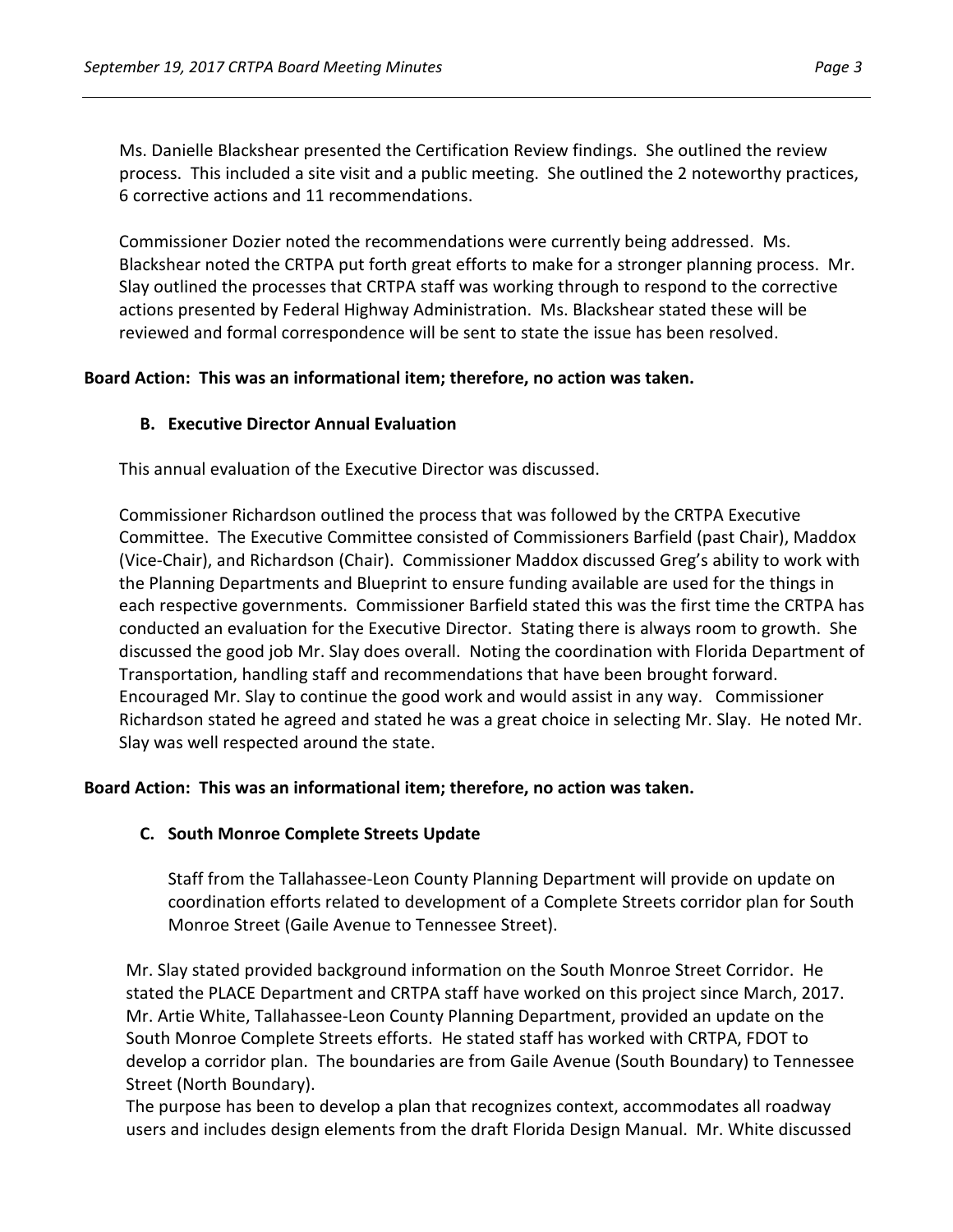Ms. Danielle Blackshear presented the Certification Review findings. She outlined the review process. This included a site visit and a public meeting. She outlined the 2 noteworthy practices, 6 corrective actions and 11 recommendations.

Commissioner Dozier noted the recommendations were currently being addressed. Ms. Blackshear noted the CRTPA put forth great efforts to make for a stronger planning process. Mr. Slay outlined the processes that CRTPA staff was working through to respond to the corrective actions presented by Federal Highway Administration. Ms. Blackshear stated these will be reviewed and formal correspondence will be sent to state the issue has been resolved.

#### **Board Action: This was an informational item; therefore, no action was taken.**

#### **B. Executive Director Annual Evaluation**

This annual evaluation of the Executive Director was discussed.

Commissioner Richardson outlined the process that was followed by the CRTPA Executive Committee. The Executive Committee consisted of Commissioners Barfield (past Chair), Maddox (Vice-Chair), and Richardson (Chair). Commissioner Maddox discussed Greg's ability to work with the Planning Departments and Blueprint to ensure funding available are used for the things in each respective governments. Commissioner Barfield stated this was the first time the CRTPA has conducted an evaluation for the Executive Director. Stating there is always room to growth. She discussed the good job Mr. Slay does overall. Noting the coordination with Florida Department of Transportation, handling staff and recommendations that have been brought forward. Encouraged Mr. Slay to continue the good work and would assist in any way. Commissioner Richardson stated he agreed and stated he was a great choice in selecting Mr. Slay. He noted Mr. Slay was well respected around the state.

#### **Board Action: This was an informational item; therefore, no action was taken.**

#### **C. South Monroe Complete Streets Update**

Staff from the Tallahassee-Leon County Planning Department will provide on update on coordination efforts related to development of a Complete Streets corridor plan for South Monroe Street (Gaile Avenue to Tennessee Street).

Mr. Slay stated provided background information on the South Monroe Street Corridor. He stated the PLACE Department and CRTPA staff have worked on this project since March, 2017. Mr. Artie White, Tallahassee-Leon County Planning Department, provided an update on the South Monroe Complete Streets efforts. He stated staff has worked with CRTPA, FDOT to develop a corridor plan. The boundaries are from Gaile Avenue (South Boundary) to Tennessee Street (North Boundary).

The purpose has been to develop a plan that recognizes context, accommodates all roadway users and includes design elements from the draft Florida Design Manual. Mr. White discussed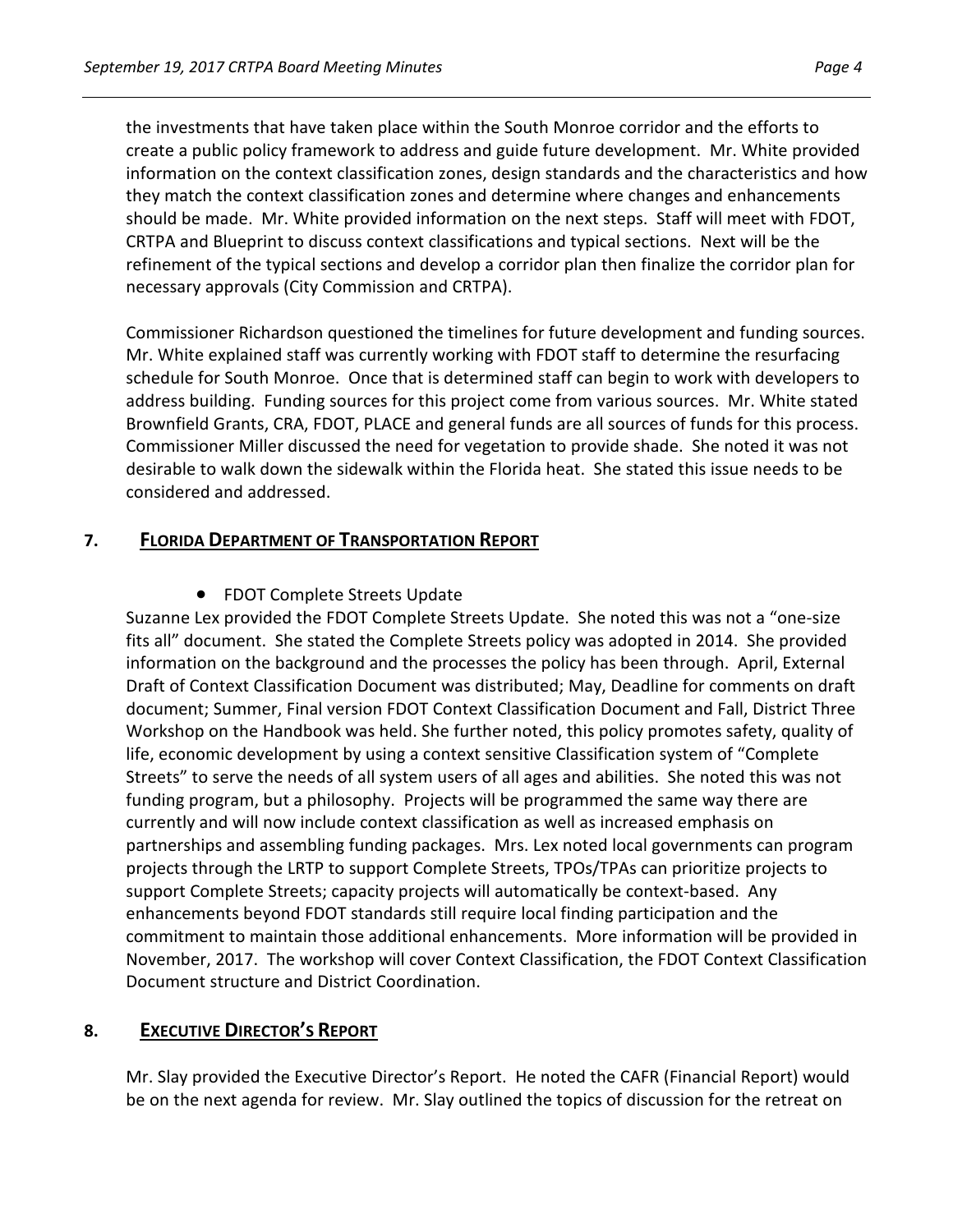the investments that have taken place within the South Monroe corridor and the efforts to create a public policy framework to address and guide future development. Mr. White provided information on the context classification zones, design standards and the characteristics and how they match the context classification zones and determine where changes and enhancements should be made. Mr. White provided information on the next steps. Staff will meet with FDOT, CRTPA and Blueprint to discuss context classifications and typical sections. Next will be the refinement of the typical sections and develop a corridor plan then finalize the corridor plan for necessary approvals (City Commission and CRTPA).

Commissioner Richardson questioned the timelines for future development and funding sources. Mr. White explained staff was currently working with FDOT staff to determine the resurfacing schedule for South Monroe. Once that is determined staff can begin to work with developers to address building. Funding sources for this project come from various sources. Mr. White stated Brownfield Grants, CRA, FDOT, PLACE and general funds are all sources of funds for this process. Commissioner Miller discussed the need for vegetation to provide shade. She noted it was not desirable to walk down the sidewalk within the Florida heat. She stated this issue needs to be considered and addressed.

#### **7. FLORIDA DEPARTMENT OF TRANSPORTATION REPORT**

• FDOT Complete Streets Update

Suzanne Lex provided the FDOT Complete Streets Update. She noted this was not a "one-size fits all" document. She stated the Complete Streets policy was adopted in 2014. She provided information on the background and the processes the policy has been through. April, External Draft of Context Classification Document was distributed; May, Deadline for comments on draft document; Summer, Final version FDOT Context Classification Document and Fall, District Three Workshop on the Handbook was held. She further noted, this policy promotes safety, quality of life, economic development by using a context sensitive Classification system of "Complete Streets" to serve the needs of all system users of all ages and abilities. She noted this was not funding program, but a philosophy. Projects will be programmed the same way there are currently and will now include context classification as well as increased emphasis on partnerships and assembling funding packages. Mrs. Lex noted local governments can program projects through the LRTP to support Complete Streets, TPOs/TPAs can prioritize projects to support Complete Streets; capacity projects will automatically be context-based. Any enhancements beyond FDOT standards still require local finding participation and the commitment to maintain those additional enhancements. More information will be provided in November, 2017. The workshop will cover Context Classification, the FDOT Context Classification Document structure and District Coordination.

# **8. EXECUTIVE DIRECTOR'S REPORT**

Mr. Slay provided the Executive Director's Report. He noted the CAFR (Financial Report) would be on the next agenda for review. Mr. Slay outlined the topics of discussion for the retreat on